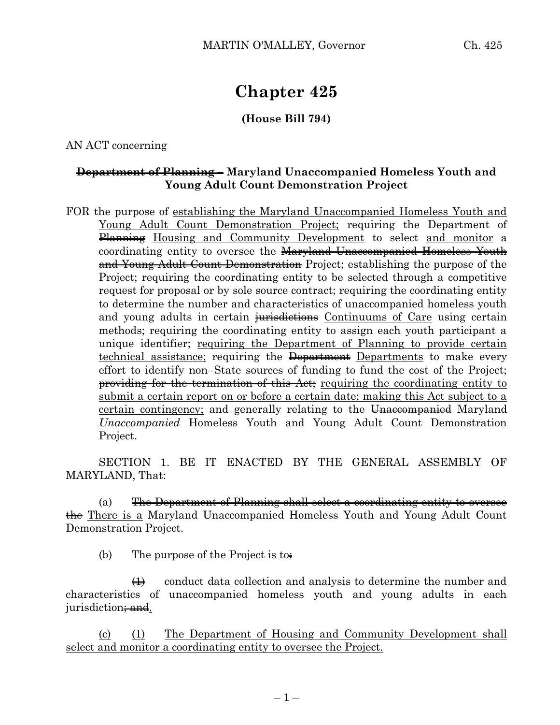# **Chapter 425**

## **(House Bill 794)**

AN ACT concerning

## **Department of Planning – Maryland Unaccompanied Homeless Youth and Young Adult Count Demonstration Project**

FOR the purpose of establishing the Maryland Unaccompanied Homeless Youth and Young Adult Count Demonstration Project; requiring the Department of Planning Housing and Community Development to select and monitor a coordinating entity to oversee the Maryland Unaccompanied Homeless Youth and Young Adult Count Demonstration Project; establishing the purpose of the Project; requiring the coordinating entity to be selected through a competitive request for proposal or by sole source contract; requiring the coordinating entity to determine the number and characteristics of unaccompanied homeless youth and young adults in certain jurisdictions Continuums of Care using certain methods; requiring the coordinating entity to assign each youth participant a unique identifier; requiring the Department of Planning to provide certain technical assistance; requiring the <del>Department</del> Departments to make every effort to identify non–State sources of funding to fund the cost of the Project; providing for the termination of this Act; requiring the coordinating entity to submit a certain report on or before a certain date; making this Act subject to a certain contingency; and generally relating to the Unaccompanied Maryland *Unaccompanied* Homeless Youth and Young Adult Count Demonstration Project.

SECTION 1. BE IT ENACTED BY THE GENERAL ASSEMBLY OF MARYLAND, That:

(a) The Department of Planning shall select a coordinating entity to oversee the There is a Maryland Unaccompanied Homeless Youth and Young Adult Count Demonstration Project.

(b) The purpose of the Project is to.

 $\leftrightarrow$  conduct data collection and analysis to determine the number and characteristics of unaccompanied homeless youth and young adults in each jurisdiction<del>; and</del>.

(c) (1) The Department of Housing and Community Development shall select and monitor a coordinating entity to oversee the Project.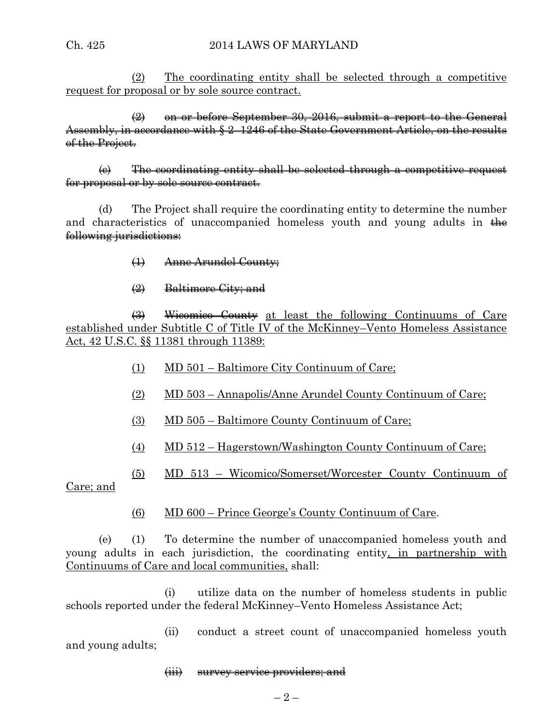(2) The coordinating entity shall be selected through a competitive request for proposal or by sole source contract.

 $\left(2\right)$  on or before September 30, 2016, submit a report to the General Assembly, in accordance with § 2–1246 of the State Government Article, on the results of the Project.

(c) The coordinating entity shall be selected through a competitive request for proposal or by sole source contract.

(d) The Project shall require the coordinating entity to determine the number and characteristics of unaccompanied homeless youth and young adults in  $\frac{1}{2}$ following jurisdictions:

- (1) Anne Arundel County;
- (2) Baltimore City; and

(3) Wicomico County at least the following Continuums of Care established under Subtitle C of Title IV of the McKinney–Vento Homeless Assistance Act, 42 U.S.C. §§ 11381 through 11389:

- (1) MD 501 Baltimore City Continuum of Care;
- (2) MD 503 Annapolis/Anne Arundel County Continuum of Care;
- (3) MD 505 Baltimore County Continuum of Care;
- (4) MD 512 Hagerstown/Washington County Continuum of Care;

(5) MD 513 – Wicomico/Somerset/Worcester County Continuum of

Care; and

(6) MD 600 – Prince George's County Continuum of Care.

(e) (1) To determine the number of unaccompanied homeless youth and young adults in each jurisdiction, the coordinating entity, in partnership with Continuums of Care and local communities, shall:

(i) utilize data on the number of homeless students in public schools reported under the federal McKinney–Vento Homeless Assistance Act;

(ii) conduct a street count of unaccompanied homeless youth and young adults;

#### (iii) survey service providers; and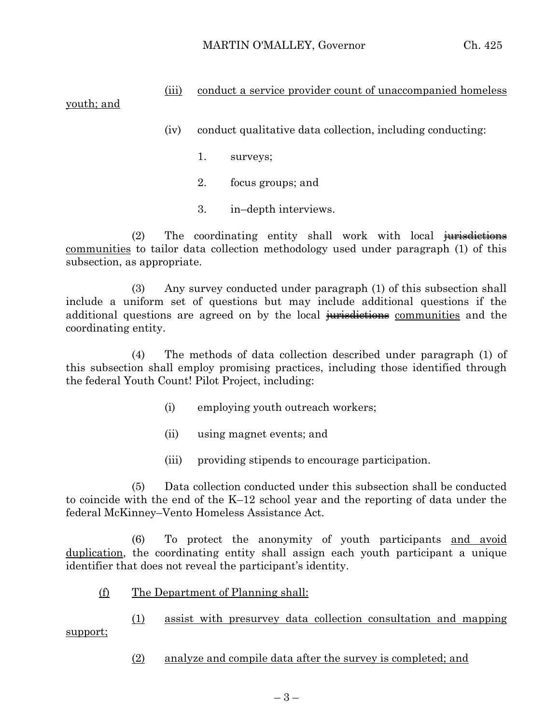## (iii) conduct a service provider count of unaccompanied homeless

## youth; and

- (iv) conduct qualitative data collection, including conducting:
	- 1. surveys;
	- 2. focus groups; and
	- 3. in–depth interviews.

(2) The coordinating entity shall work with local jurisdictions communities to tailor data collection methodology used under paragraph (1) of this subsection, as appropriate.

(3) Any survey conducted under paragraph (1) of this subsection shall include a uniform set of questions but may include additional questions if the additional questions are agreed on by the local jurisdictions communities and the coordinating entity.

(4) The methods of data collection described under paragraph (1) of this subsection shall employ promising practices, including those identified through the federal Youth Count! Pilot Project, including:

- (i) employing youth outreach workers;
- (ii) using magnet events; and
- (iii) providing stipends to encourage participation.

(5) Data collection conducted under this subsection shall be conducted to coincide with the end of the K–12 school year and the reporting of data under the federal McKinney–Vento Homeless Assistance Act.

(6) To protect the anonymity of youth participants and avoid duplication, the coordinating entity shall assign each youth participant a unique identifier that does not reveal the participant's identity.

(f) The Department of Planning shall:

(1) assist with presurvey data collection consultation and mapping support;

(2) analyze and compile data after the survey is completed; and